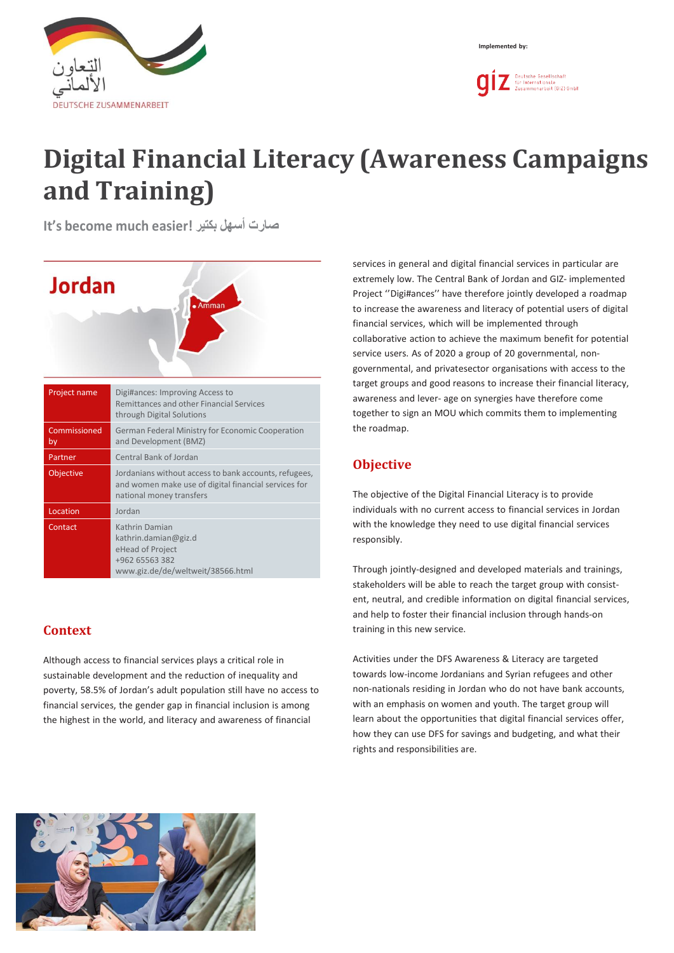



# **Digital Financial Literacy (Awareness Campaigns and Training)**

**It's become much easier! بكتير أسهل صارت**



## **Context**

Although access to financial services plays a critical role in sustainable development and the reduction of inequality and poverty, 58.5% of Jordan's adult population still have no access to financial services, the gender gap in financial inclusion is among the highest in the world, and literacy and awareness of financial

services in general and digital financial services in particular are extremely low. The Central Bank of Jordan and GIZ- implemented Project ''Digi#ances'' have therefore jointly developed a roadmap to increase the awareness and literacy of potential users of digital financial services, which will be implemented through collaborative action to achieve the maximum benefit for potential service users. As of 2020 a group of 20 governmental, nongovernmental, and privatesector organisations with access to the target groups and good reasons to increase their financial literacy, awareness and lever- age on synergies have therefore come together to sign an MOU which commits them to implementing the roadmap.

# **Objective**

The objective of the Digital Financial Literacy is to provide individuals with no current access to financial services in Jordan with the knowledge they need to use digital financial services responsibly.

Through jointly-designed and developed materials and trainings, stakeholders will be able to reach the target group with consistent, neutral, and credible information on digital financial services, and help to foster their financial inclusion through hands-on training in this new service.

Activities under the DFS Awareness & Literacy are targeted towards low-income Jordanians and Syrian refugees and other non-nationals residing in Jordan who do not have bank accounts, with an emphasis on women and youth. The target group will learn about the opportunities that digital financial services offer, how they can use DFS for savings and budgeting, and what their rights and responsibilities are.

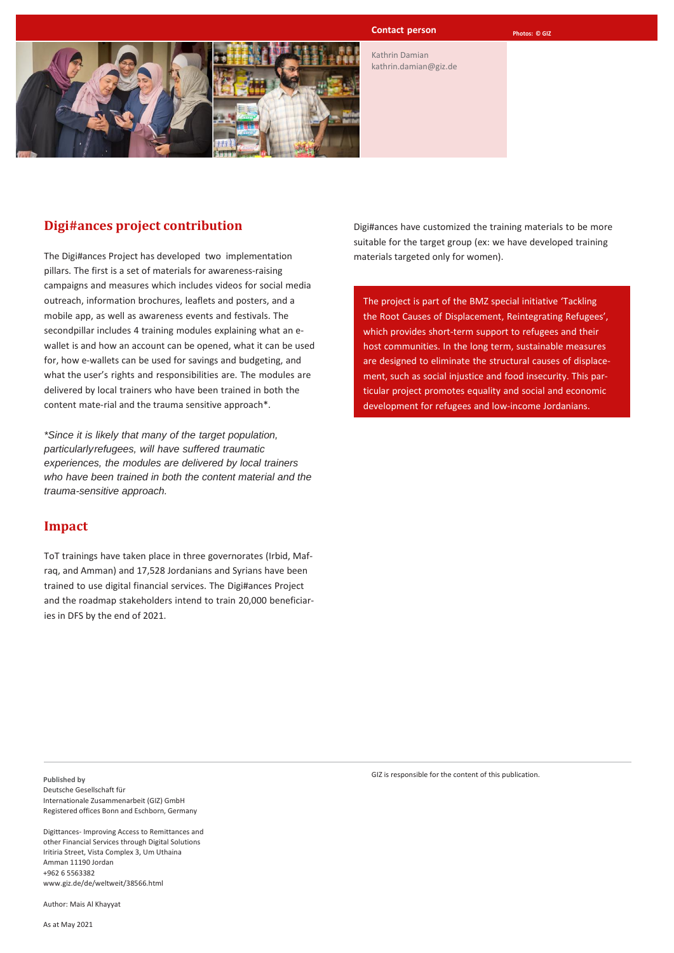

#### **Contact person Photos:** © GIZ

Kathrin Damian [kathrin.damian@giz.de](mailto:kathrin.damian@giz.de)

## **Digi#ances project contribution**

The Digi#ances Project has developed two implementation pillars. The first is a set of materials for awareness-raising campaigns and measures which includes videos for social media outreach, information brochures, leaflets and posters, and a mobile app, as well as awareness events and festivals. The secondpillar includes 4 training modules explaining what an ewallet is and how an account can be opened, what it can be used for, how e-wallets can be used for savings and budgeting, and what the user's rights and responsibilities are. The modules are delivered by local trainers who have been trained in both the content mate-rial and the trauma sensitive approach\*.

*\*Since it is likely that many of the target population, particularlyrefugees, will have suffered traumatic experiences, the modules are delivered by local trainers who have been trained in both the content material and the trauma-sensitive approach.*

### **Impact**

ToT trainings have taken place in three governorates (Irbid, Mafraq, and Amman) and 17,528 Jordanians and Syrians have been trained to use digital financial services. The Digi#ances Project and the roadmap stakeholders intend to train 20,000 beneficiaries in DFS by the end of 2021.

Digi#ances have customized the training materials to be more suitable for the target group (ex: we have developed training materials targeted only for women).

The project is part of the BMZ special initiative 'Tackling the Root Causes of Displacement, Reintegrating Refugees', which provides short-term support to refugees and their host communities. In the long term, sustainable measures are designed to eliminate the structural causes of displacement, such as social injustice and food insecurity. This particular project promotes equality and social and economic development for refugees and low-income Jordanians.

**Published by** Deutsche Gesellschaft für Internationale Zusammenarbeit (GIZ) GmbH Registered offices Bonn and Eschborn, Germany

Digittances- Improving Access to Remittances and other Financial Services through Digital Solutions Iritiria Street, Vista Complex 3, Um Uthaina Amman 11190 Jordan +962 6 5563382 [www.giz.de/de/weltweit/38566.html](http://www.giz.de/de/weltweit/38566.html)

Author: Mais Al Khayyat

As at May 2021

GIZ is responsible for the content of this publication.